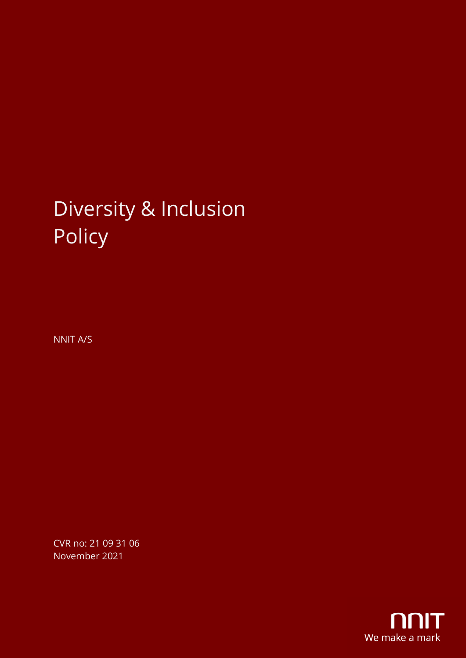# Diversity & Inclusion Policy

NNIT A/S

CVR no: 21 09 31 06 November 2021

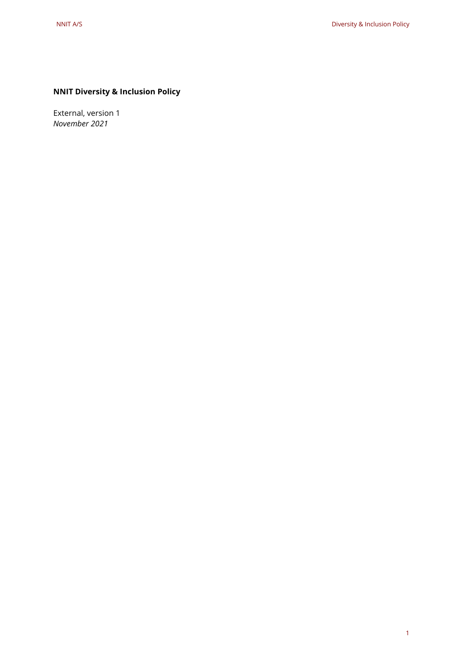# **NNIT Diversity & Inclusion Policy** NNIT AS:<br>NNIT Diversity & Inclusion Policy<br>Xternal, version 1<br>Volumber 2021<br>1

External, version 1 *November 2021*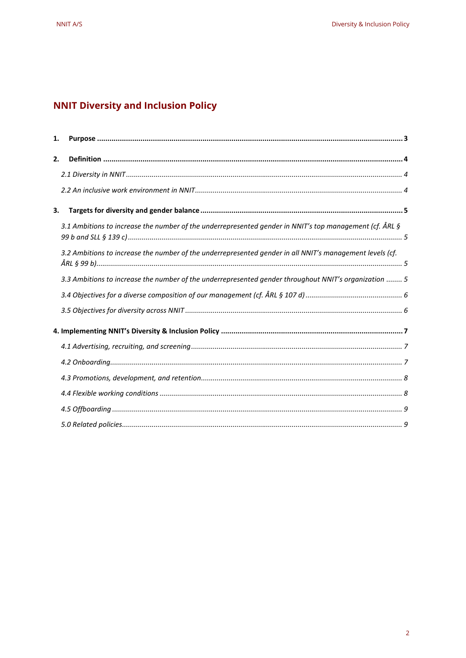## **NNIT Diversity and Inclusion Policy**

| 1. |                                                                                                          |  |
|----|----------------------------------------------------------------------------------------------------------|--|
| 2. |                                                                                                          |  |
|    |                                                                                                          |  |
|    |                                                                                                          |  |
| 3. |                                                                                                          |  |
|    | 3.1 Ambitions to increase the number of the underrepresented gender in NNIT's top management (cf. ÅRL §  |  |
|    | 3.2 Ambitions to increase the number of the underrepresented gender in all NNIT's management levels (cf. |  |
|    | 3.3 Ambitions to increase the number of the underrepresented gender throughout NNIT's organization  5    |  |
|    |                                                                                                          |  |
|    |                                                                                                          |  |
|    |                                                                                                          |  |
|    |                                                                                                          |  |
|    |                                                                                                          |  |
|    |                                                                                                          |  |
|    |                                                                                                          |  |
|    |                                                                                                          |  |
|    |                                                                                                          |  |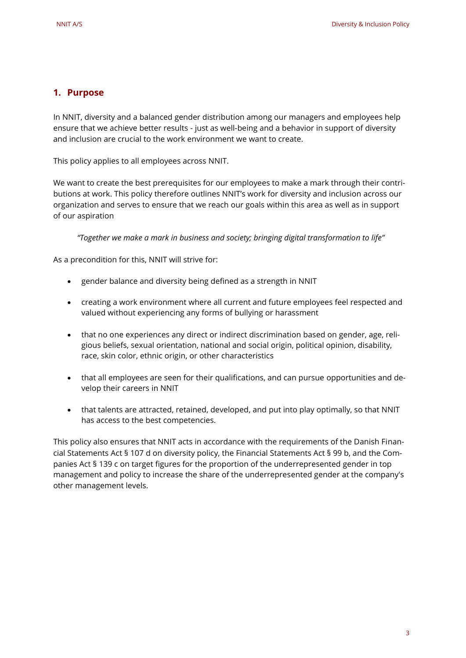### <span id="page-3-0"></span>**1. Purpose**

In NNIT, diversity and a balanced gender distribution among our managers and employees help ensure that we achieve better results - just as well-being and a behavior in support of diversity and inclusion are crucial to the work environment we want to create.

This policy applies to all employees across NNIT.

We want to create the best prerequisites for our employees to make a mark through their contributions at work. This policy therefore outlines NNIT's work for diversity and inclusion across our organization and serves to ensure that we reach our goals within this area as well as in support of our aspiration

*"Together we make a mark in business and society; bringing digital transformation to life"*

As a precondition for this, NNIT will strive for:

- gender balance and diversity being defined as a strength in NNIT
- creating a work environment where all current and future employees feel respected and valued without experiencing any forms of bullying or harassment
- that no one experiences any direct or indirect discrimination based on gender, age, religious beliefs, sexual orientation, national and social origin, political opinion, disability, race, skin color, ethnic origin, or other characteristics
- that all employees are seen for their qualifications, and can pursue opportunities and develop their careers in NNIT
- that talents are attracted, retained, developed, and put into play optimally, so that NNIT has access to the best competencies.

This policy also ensures that NNIT acts in accordance with the requirements of the Danish Financial Statements Act § 107 d on diversity policy, the Financial Statements Act § 99 b, and the Companies Act § 139 c on target figures for the proportion of the underrepresented gender in top management and policy to increase the share of the underrepresented gender at the company's other management levels. Diversia sheltow Policy<br>
NNIT, diversify and a bidenced gender distribution among our managers and emillopses lefts<br>
means that we achieve helier results - inicial some biomic means our managers and emillopses lefts<br>
means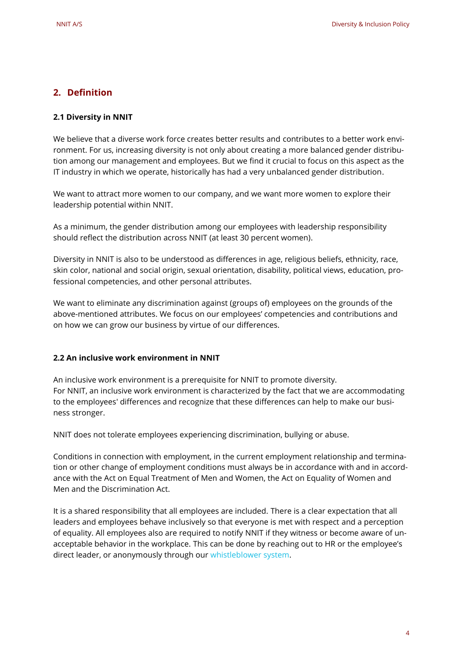### <span id="page-4-0"></span>**2. Definition**

### <span id="page-4-1"></span>**2.1 Diversity in NNIT**

We believe that a diverse work force creates better results and contributes to a better work environment. For us, increasing diversity is not only about creating a more balanced gender distribution among our management and employees. But we find it crucial to focus on this aspect as the IT industry in which we operate, historically has had a very unbalanced gender distribution.

We want to attract more women to our company, and we want more women to explore their leadership potential within NNIT.

As a minimum, the gender distribution among our employees with leadership responsibility should reflect the distribution across NNIT (at least 30 percent women).

Diversity in NNIT is also to be understood as differences in age, religious beliefs, ethnicity, race, skin color, national and social origin, sexual orientation, disability, political views, education, professional competencies, and other personal attributes.

We want to eliminate any discrimination against (groups of) employees on the grounds of the above-mentioned attributes. We focus on our employees' competencies and contributions and on how we can grow our business by virtue of our differences.

### <span id="page-4-2"></span>**2.2 An inclusive work environment in NNIT**

An inclusive work environment is a prerequisite for NNIT to promote diversity. For NNIT, an inclusive work environment is characterized by the fact that we are accommodating to the employees' differences and recognize that these differences can help to make our business stronger.

NNIT does not tolerate employees experiencing discrimination, bullying or abuse.

Conditions in connection with employment, in the current employment relationship and termination or other change of employment conditions must always be in accordance with and in accordance with the Act on Equal Treatment of Men and Women, the Act on Equality of Women and Men and the Discrimination Act.

It is a shared responsibility that all employees are included. There is a clear expectation that all leaders and employees behave inclusively so that everyone is met with respect and a perception of equality. All employees also are required to notify NNIT if they witness or become aware of unacceptable behavior in the workplace. This can be done by reaching out to HR or the employee's direct leader, or anonymously through ou[r whistleblower system.](https://www.nnit.com/about-us/corporate-responsibility/whistleblower/) Density is a the matter of the matter of the controllers in the controllers of the matter of the matter of the matter of the matter of the matter of the matter of the matter of the matter of the matter of the matter of the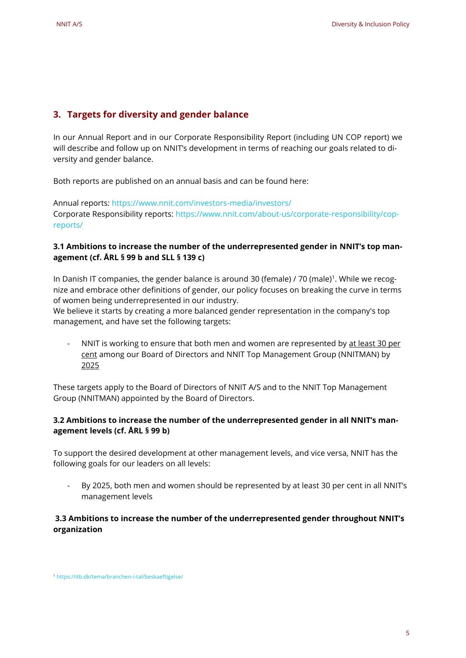### <span id="page-5-0"></span>**3. Targets for diversity and gender balance**

In our Annual Report and in our Corporate Responsibility Report (including UN COP report) we will describe and follow up on NNIT's development in terms of reaching our goals related to diversity and gender balance. Deensig kelasar Devenise kelasar Policy<br>
NaIT AZ A Control Report and In our Corporate Responsibility Report (including UN COP report) we<br>
in the Annual Report and In our Corporate Responsibility Report (including UN COP r

Both reports are published on an annual basis and can be found here:

Annual reports:<https://www.nnit.com/investors-media/investors/> Corporate Responsibility reports: [https://www.nnit.com/about-us/corporate-responsibility/cop](https://www.nnit.com/about-us/corporate-responsibility/cop-reports/)[reports/](https://www.nnit.com/about-us/corporate-responsibility/cop-reports/)

### <span id="page-5-1"></span>**3.1 Ambitions to increase the number of the underrepresented gender in NNIT's top management (cf. ÅRL § 99 b and SLL § 139 c)**

In Danish IT companies, the gender balance is around 30 (female) / 70 (male)<sup>1</sup>. While we recognize and embrace other definitions of gender, our policy focuses on breaking the curve in terms of women being underrepresented in our industry.

We believe it starts by creating a more balanced gender representation in the company's top management, and have set the following targets:

NNIT is working to ensure that both men and women are represented by at least 30 per cent among our Board of Directors and NNIT Top Management Group (NNITMAN) by 2025

These targets apply to the Board of Directors of NNIT A/S and to the NNIT Top Management Group (NNITMAN) appointed by the Board of Directors.

### <span id="page-5-2"></span>**3.2 Ambitions to increase the number of the underrepresented gender in all NNIT's management levels (cf. ÅRL § 99 b)**

To support the desired development at other management levels, and vice versa, NNIT has the following goals for our leaders on all levels:

By 2025, both men and women should be represented by at least 30 per cent in all NNIT's management levels

### <span id="page-5-3"></span>**3.3 Ambitions to increase the number of the underrepresented gender throughout NNIT's organization**

<sup>1</sup> <https://itb.dk/tema/branchen-i-tal/beskaeftigelse/>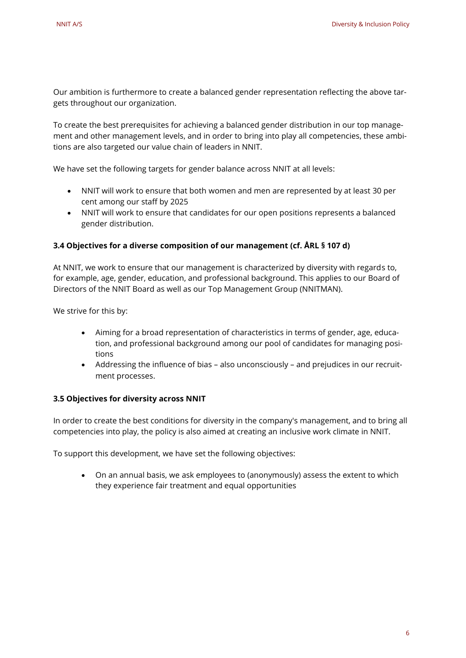Our ambition is furthermore to create a balanced gender representation reflecting the above targets throughout our organization.

To create the best prerequisites for achieving a balanced gender distribution in our top management and other management levels, and in order to bring into play all competencies, these ambitions are also targeted our value chain of leaders in NNIT. Durante Station Policy (Durantee Internal control of the Company of the Company of the Company of the Company of the Company of the Company of the Company of the Company of the Company of the Company of the Company of the

We have set the following targets for gender balance across NNIT at all levels:

- NNIT will work to ensure that both women and men are represented by at least 30 per cent among our staff by 2025
- NNIT will work to ensure that candidates for our open positions represents a balanced gender distribution.

### <span id="page-6-0"></span>**3.4 Objectives for a diverse composition of our management (cf. ÅRL § 107 d)**

At NNIT, we work to ensure that our management is characterized by diversity with regards to, for example, age, gender, education, and professional background. This applies to our Board of Directors of the NNIT Board as well as our Top Management Group (NNITMAN).

We strive for this by:

- Aiming for a broad representation of characteristics in terms of gender, age, education, and professional background among our pool of candidates for managing positions
- Addressing the influence of bias also unconsciously and prejudices in our recruitment processes.

### <span id="page-6-1"></span>**3.5 Objectives for diversity across NNIT**

In order to create the best conditions for diversity in the company's management, and to bring all competencies into play, the policy is also aimed at creating an inclusive work climate in NNIT.

To support this development, we have set the following objectives:

• On an annual basis, we ask employees to (anonymously) assess the extent to which they experience fair treatment and equal opportunities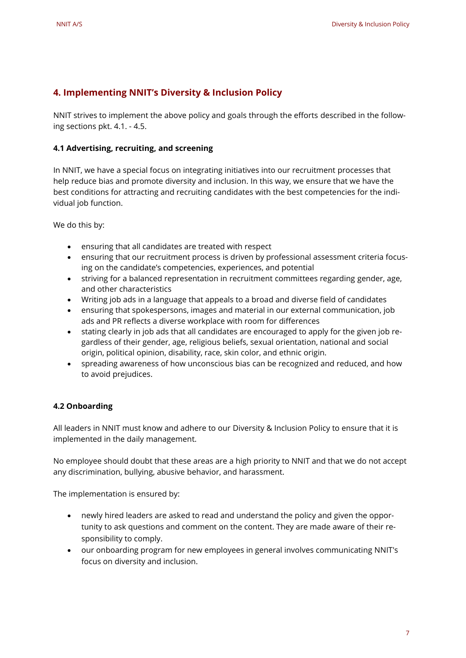### <span id="page-7-0"></span>**4. Implementing NNIT's Diversity & Inclusion Policy**

NNIT strives to implement the above policy and goals through the efforts described in the following sections pkt. 4.1. - 4.5.

### <span id="page-7-1"></span>**4.1 Advertising, recruiting, and screening**

In NNIT, we have a special focus on integrating initiatives into our recruitment processes that help reduce bias and promote diversity and inclusion. In this way, we ensure that we have the best conditions for attracting and recruiting candidates with the best competencies for the individual job function. Denise is hard as the complementing NNIT's Diversity & inclusion Policy<br>
NNIT subsections pair and several production Policy<br>
NNIT subsections pair and several productions and several productions in the foliosof<br>
NNIT subs

We do this by:

- ensuring that all candidates are treated with respect
- ensuring that our recruitment process is driven by professional assessment criteria focusing on the candidate's competencies, experiences, and potential
- striving for a balanced representation in recruitment committees regarding gender, age, and other characteristics
- Writing job ads in a language that appeals to a broad and diverse field of candidates
- ensuring that spokespersons, images and material in our external communication, job ads and PR reflects a diverse workplace with room for differences
- stating clearly in job ads that all candidates are encouraged to apply for the given job regardless of their gender, age, religious beliefs, sexual orientation, national and social origin, political opinion, disability, race, skin color, and ethnic origin.
- spreading awareness of how unconscious bias can be recognized and reduced, and how to avoid prejudices.

### <span id="page-7-2"></span>**4.2 Onboarding**

All leaders in NNIT must know and adhere to our Diversity & Inclusion Policy to ensure that it is implemented in the daily management.

No employee should doubt that these areas are a high priority to NNIT and that we do not accept any discrimination, bullying, abusive behavior, and harassment.

The implementation is ensured by:

- newly hired leaders are asked to read and understand the policy and given the opportunity to ask questions and comment on the content. They are made aware of their responsibility to comply.
- our onboarding program for new employees in general involves communicating NNIT's focus on diversity and inclusion.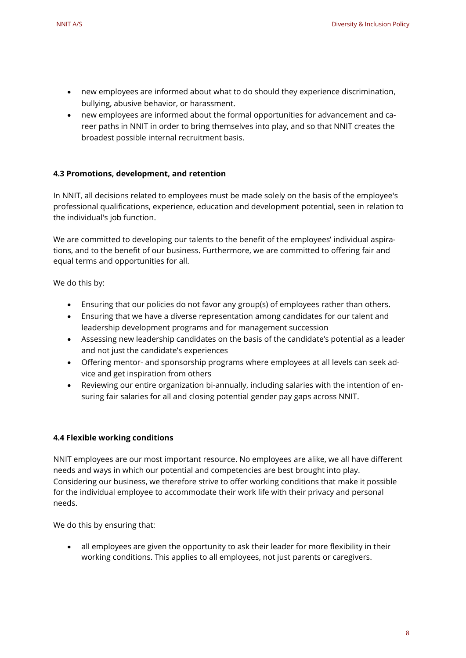- new employees are informed about what to do should they experience discrimination, bullying, abusive behavior, or harassment.
- new employees are informed about the formal opportunities for advancement and career paths in NNIT in order to bring themselves into play, and so that NNIT creates the broadest possible internal recruitment basis.

### <span id="page-8-0"></span>**4.3 Promotions, development, and retention**

In NNIT, all decisions related to employees must be made solely on the basis of the employee's professional qualifications, experience, education and development potential, seen in relation to the individual's job function.

We are committed to developing our talents to the benefit of the employees' individual aspirations, and to the benefit of our business. Furthermore, we are committed to offering fair and equal terms and opportunities for all.

We do this by:

- Ensuring that our policies do not favor any group(s) of employees rather than others.
- Ensuring that we have a diverse representation among candidates for our talent and leadership development programs and for management succession
- Assessing new leadership candidates on the basis of the candidate's potential as a leader and not just the candidate's experiences
- Offering mentor- and sponsorship programs where employees at all levels can seek advice and get inspiration from others
- Reviewing our entire organization bi-annually, including salaries with the intention of ensuring fair salaries for all and closing potential gender pay gaps across NNIT.

### <span id="page-8-1"></span>**4.4 Flexible working conditions**

NNIT employees are our most important resource. No employees are alike, we all have different needs and ways in which our potential and competencies are best brought into play. Considering our business, we therefore strive to offer working conditions that make it possible for the individual employee to accommodate their work life with their privacy and personal needs. Density & the<br>those complexers are informed about what to do should they experience discrimination,<br>the magnitude behavior of haracteristic conditions and conditions of the main opportunities for examples are informed abou

We do this by ensuring that:

• all employees are given the opportunity to ask their leader for more flexibility in their working conditions. This applies to all employees, not just parents or caregivers.